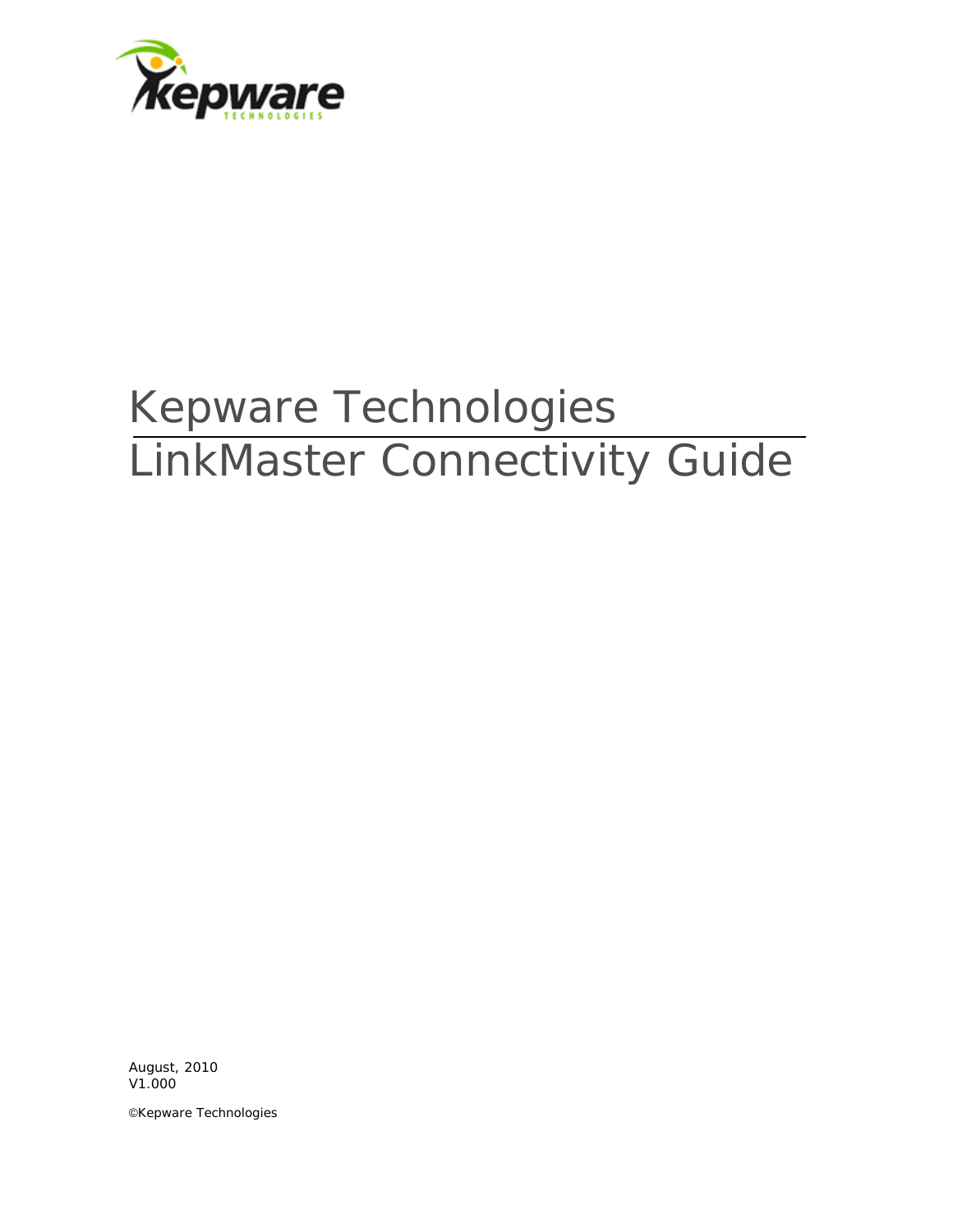

# Kepware Technologies LinkMaster Connectivity Guide

August, 2010 V1.000

©Kepware Technologies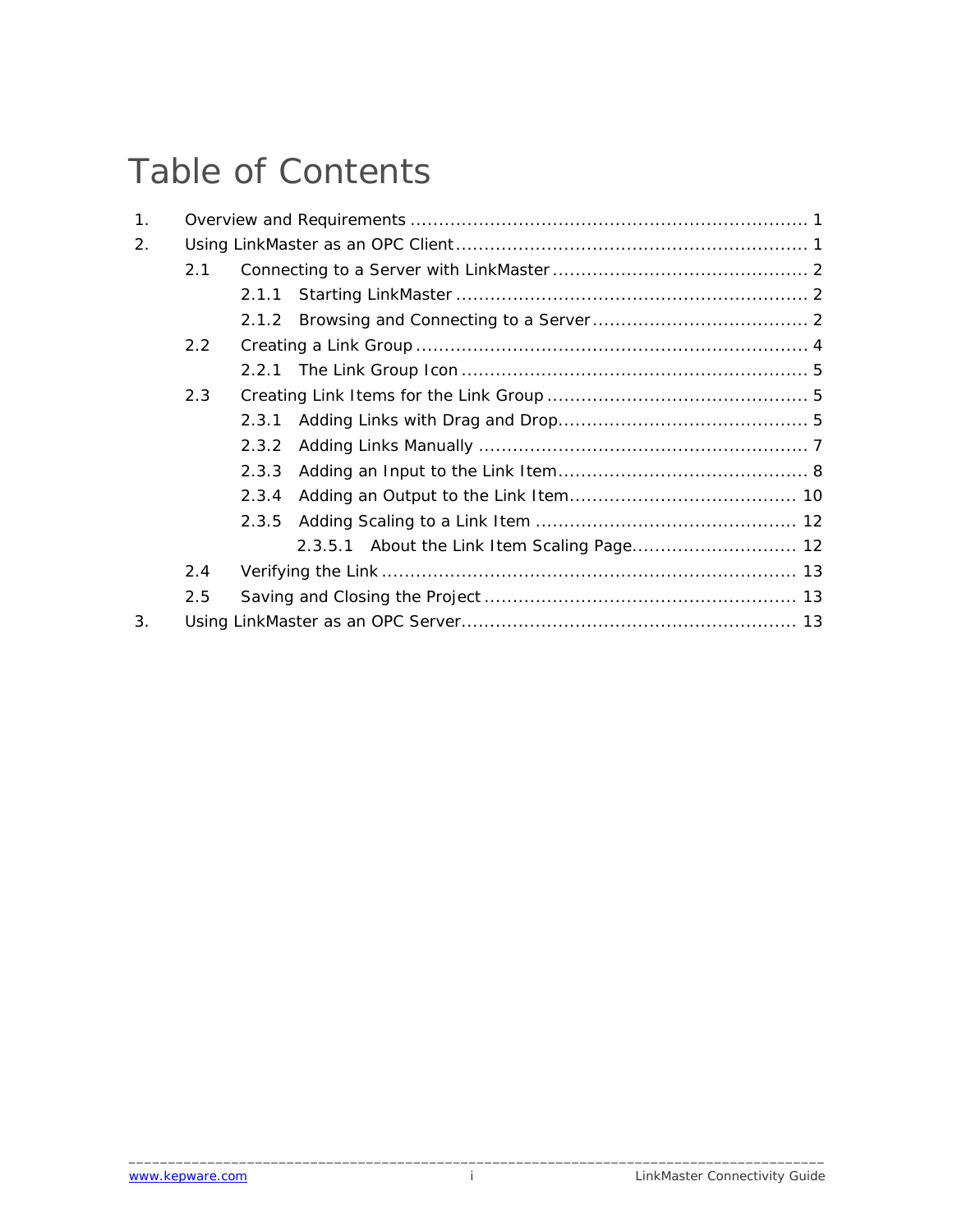# Table of Contents

| 1. |               |       |  |  |
|----|---------------|-------|--|--|
| 2. |               |       |  |  |
|    | 2.1           |       |  |  |
|    |               |       |  |  |
|    |               |       |  |  |
|    | $2.2^{\circ}$ |       |  |  |
|    |               |       |  |  |
|    | 2.3           |       |  |  |
|    |               | 2.3.1 |  |  |
|    |               |       |  |  |
|    |               | 2.3.3 |  |  |
|    |               | 2.3.4 |  |  |
|    |               |       |  |  |
|    |               |       |  |  |
|    | 2.4           |       |  |  |
|    | 2.5           |       |  |  |
| 3. |               |       |  |  |

\_\_\_\_\_\_\_\_\_\_\_\_\_\_\_\_\_\_\_\_\_\_\_\_\_\_\_\_\_\_\_\_\_\_\_\_\_\_\_\_\_\_\_\_\_\_\_\_\_\_\_\_\_\_\_\_\_\_\_\_\_\_\_\_\_\_\_\_\_\_\_\_\_\_\_\_\_\_\_\_\_\_\_\_\_\_\_\_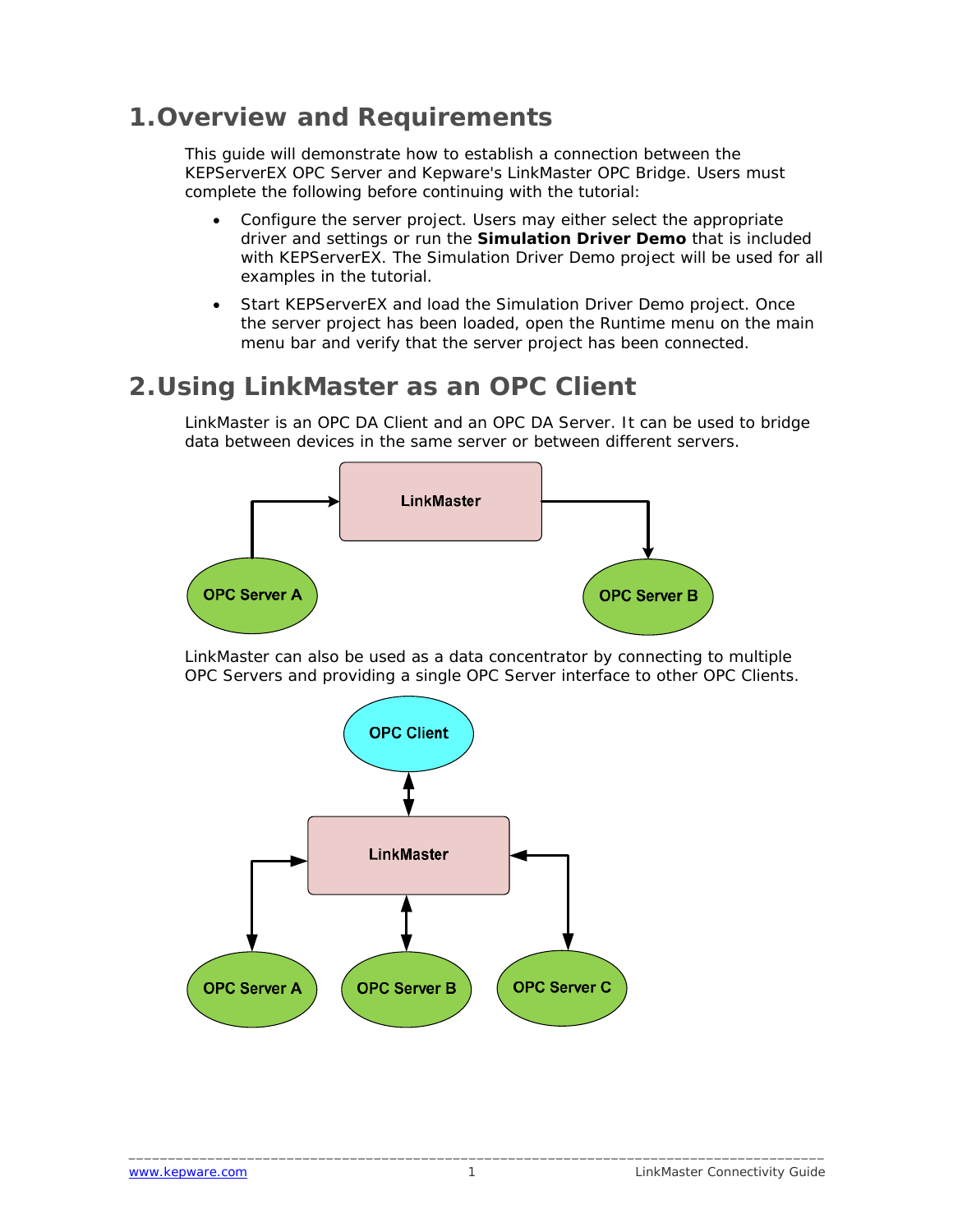## <span id="page-2-0"></span>**1.Overview and Requirements**

This guide will demonstrate how to establish a connection between the KEPServerEX OPC Server and Kepware's LinkMaster OPC Bridge. Users must complete the following before continuing with the tutorial:

- Configure the server project. Users may either select the appropriate driver and settings or run the **Simulation Driver Demo** that is included with KEPServerEX. The Simulation Driver Demo project will be used for all examples in the tutorial.
- Start KEPServerEX and load the Simulation Driver Demo project. Once the server project has been loaded, open the Runtime menu on the main menu bar and verify that the server project has been connected.

# **2.Using LinkMaster as an OPC Client**

LinkMaster is an OPC DA Client and an OPC DA Server. It can be used to bridge data between devices in the same server or between different servers.



LinkMaster can also be used as a data concentrator by connecting to multiple OPC Servers and providing a single OPC Server interface to other OPC Clients.

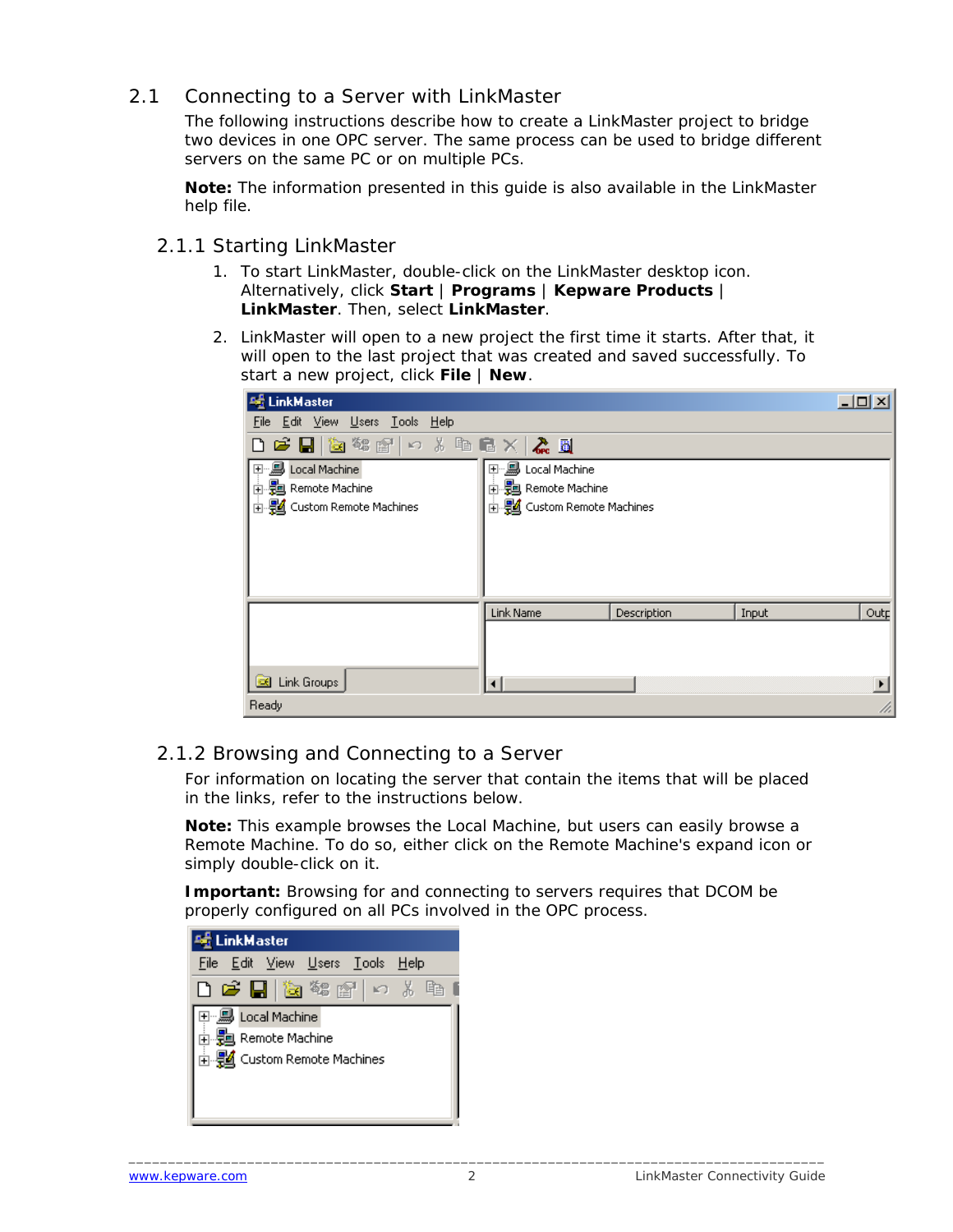#### <span id="page-3-0"></span>2.1 Connecting to a Server with LinkMaster

The following instructions describe how to create a LinkMaster project to bridge two devices in one OPC server. The same process can be used to bridge different servers on the same PC or on multiple PCs.

**Note:** The information presented in this guide is also available in the LinkMaster help file.

- 2.1.1 Starting LinkMaster
	- 1. To start LinkMaster, double-click on the LinkMaster desktop icon. Alternatively, click **Start** | **Programs** | **Kepware Products** | **LinkMaster**. Then, select **LinkMaster**.
	- 2. LinkMaster will open to a new project the first time it starts. After that, it will open to the last project that was created and saved successfully. To start a new project, click **File** | **New**.

| <b>Adj</b> LinkMaster           |                            |             |       | $\Box$ D $\times$ |
|---------------------------------|----------------------------|-------------|-------|-------------------|
| File Edit View Users Tools Help |                            |             |       |                   |
| D F H & \$ #   0 % & B X   & B  |                            |             |       |                   |
| 巴恩 Local Machine                | 田 易 Local Machine          |             |       |                   |
| <b>中国</b> Remote Machine        | 由 题 Remote Machine         |             |       |                   |
| 由 图 Custom Remote Machines      | 由 题 Custom Remote Machines |             |       |                   |
|                                 |                            |             |       |                   |
|                                 |                            |             |       |                   |
|                                 |                            |             |       |                   |
|                                 |                            |             |       |                   |
|                                 | Link Name                  | Description | Input | Outp              |
|                                 |                            |             |       |                   |
|                                 |                            |             |       |                   |
| Link Groups                     |                            |             |       |                   |
|                                 |                            |             |       |                   |
| Ready                           |                            |             |       |                   |

#### 2.1.2 Browsing and Connecting to a Server

For information on locating the server that contain the items that will be placed in the links, refer to the instructions below.

**Note:** This example browses the Local Machine, but users can easily browse a Remote Machine. To do so, either click on the Remote Machine's expand icon or simply double-click on it.

**Important:** Browsing for and connecting to servers requires that DCOM be properly configured on all PCs involved in the OPC process.

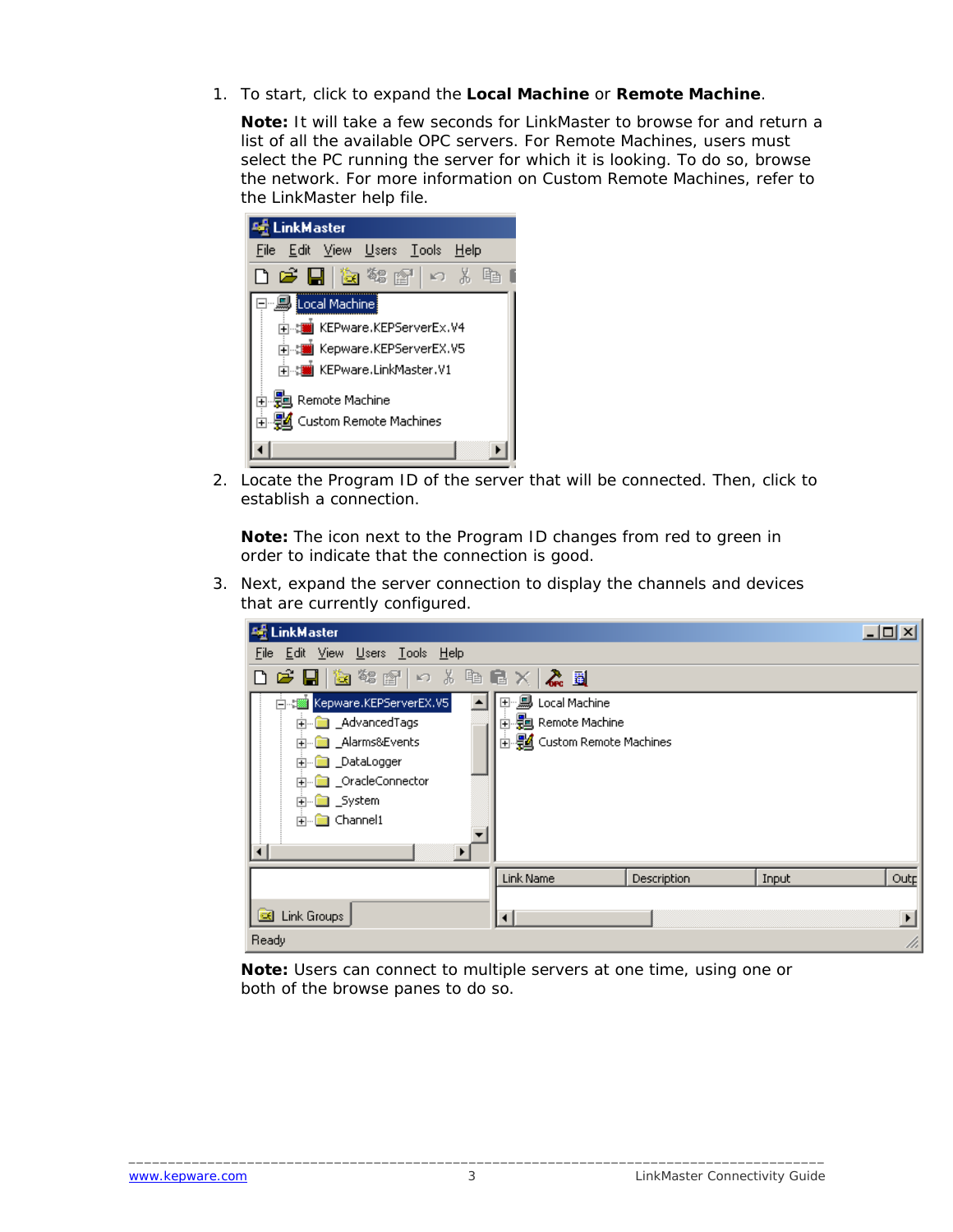1. To start, click to expand the **Local Machine** or **Remote Machine**.

**Note:** It will take a few seconds for LinkMaster to browse for and return a list of all the available OPC servers. For Remote Machines, users must select the PC running the server for which it is looking. To do so, browse the network. For more information on Custom Remote Machines, refer to the LinkMaster help file.

| LinkMaster                                                                                                                      |
|---------------------------------------------------------------------------------------------------------------------------------|
| <u>File Edit V</u> iew <u>U</u> sers <u>Tools H</u> elp                                                                         |
| 口声日 医输出口 人名                                                                                                                     |
| 日 , Jocal Machine<br>ने : will KEPware,KEPServerEx,V4<br>ने .:  Kepware,KEPServerEX,V5<br><mark>मे</mark> KEPware.LinkMaster.V1 |
| 南- <b>党</b> Remote Machine<br>由 题 Custom Remote Machines                                                                        |

2. Locate the Program ID of the server that will be connected. Then, click to establish a connection.

**Note:** The icon next to the Program ID changes from red to green in order to indicate that the connection is good.

3. Next, expand the server connection to display the channels and devices that are currently configured.

| <b>No LinkMaster</b>                 |                            |             |       | $\Box$ $\Box$ $\times$ |
|--------------------------------------|----------------------------|-------------|-------|------------------------|
| File Edit View Users Tools Help      |                            |             |       |                        |
| D F H & \$ #   0 % & & N & &         |                            |             |       |                        |
| Kepware.KEPServerEX.V5<br>白春         | 田·· <b>鳥 Local Machine</b> |             |       |                        |
| <b>M</b> AdvancedTags<br>$\boxed{+}$ | 由 Remote Machine           |             |       |                        |
| <b>E</b> __ Alarms&Events            | 由 图 Custom Remote Machines |             |       |                        |
| … <mark></mark> _DataLogger<br>Ĥ     |                            |             |       |                        |
| <b>a</b> _OracleConnector<br>中       |                            |             |       |                        |
| ⊡ _System                            |                            |             |       |                        |
| <b>E</b> Channel1                    |                            |             |       |                        |
|                                      |                            |             |       |                        |
|                                      | Link Name                  | Description | Input | Outp                   |
|                                      |                            |             |       |                        |
| <b>B</b> Link Groups                 |                            |             |       | $\blacktriangleright$  |
| Ready                                |                            |             |       | h,                     |

**Note:** Users can connect to multiple servers at one time, using one or both of the browse panes to do so.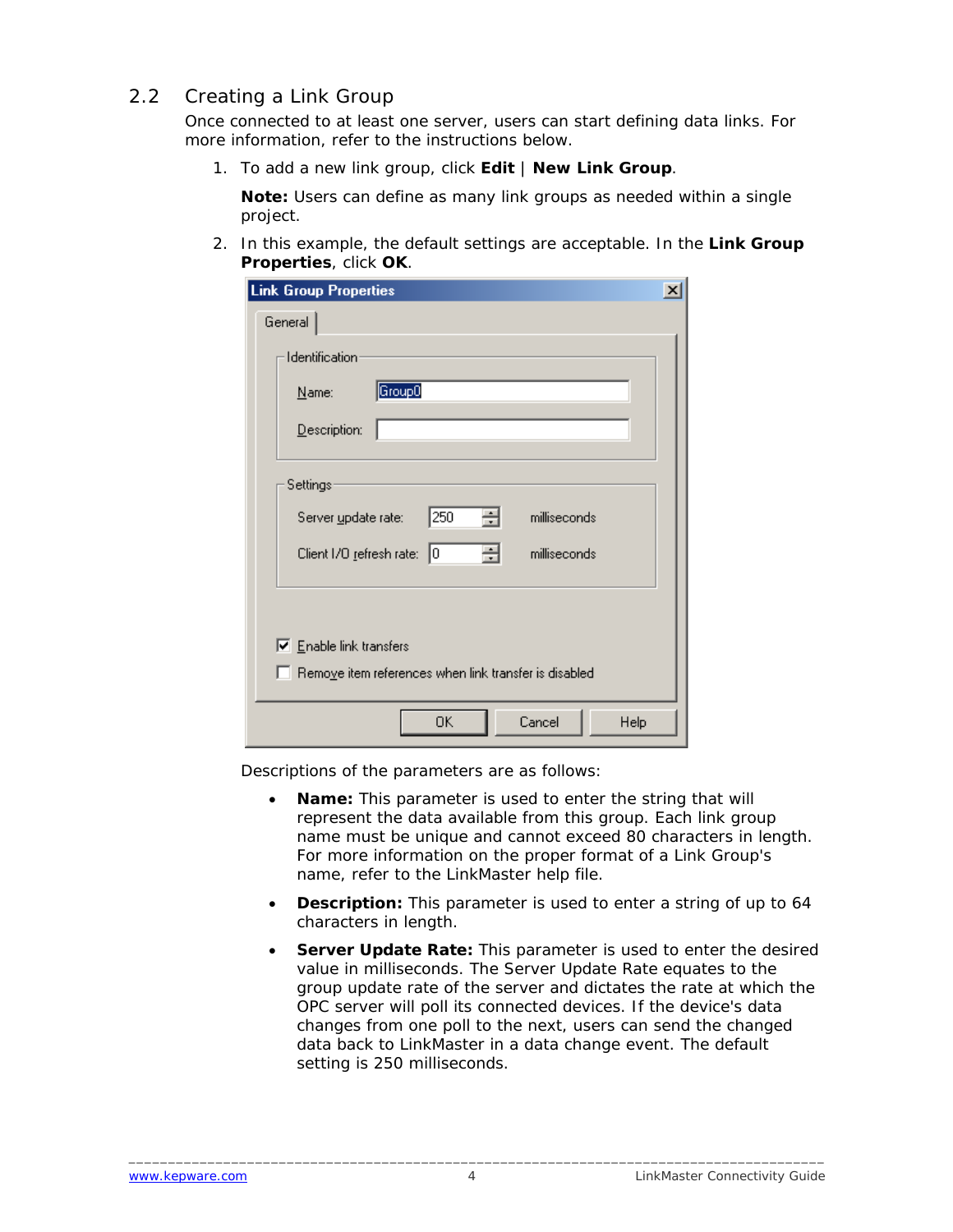#### <span id="page-5-0"></span>2.2 Creating a Link Group

Once connected to at least one server, users can start defining data links. For more information, refer to the instructions below.

1. To add a new link group, click **Edit** | **New Link Group**.

**Note:** Users can define as many link groups as needed within a single project.

2. In this example, the default settings are acceptable. In the **Link Group Properties**, click **OK**.

| <b>Link Group Properties</b>                                 |  |
|--------------------------------------------------------------|--|
| General                                                      |  |
| Identification                                               |  |
| Group0<br>Name:                                              |  |
| Description:                                                 |  |
| Settings                                                     |  |
| 250<br>싂<br>milliseconds<br>Server update rate:              |  |
| 곡<br>Client 1/0 refresh rate: 0<br>milliseconds              |  |
|                                                              |  |
| $\nabla$ Enable link transfers                               |  |
| $\Box$ Remove item references when link transfer is disabled |  |
| Cancel<br>Help<br>0K                                         |  |

Descriptions of the parameters are as follows:

- **Name:** This parameter is used to enter the string that will represent the data available from this group. Each link group name must be unique and cannot exceed 80 characters in length. For more information on the proper format of a Link Group's name, refer to the LinkMaster help file.
- **Description:** This parameter is used to enter a string of up to 64 characters in length.
- **Server Update Rate:** This parameter is used to enter the desired value in milliseconds. The Server Update Rate equates to the group update rate of the server and dictates the rate at which the OPC server will poll its connected devices. If the device's data changes from one poll to the next, users can send the changed data back to LinkMaster in a data change event. The default setting is 250 milliseconds.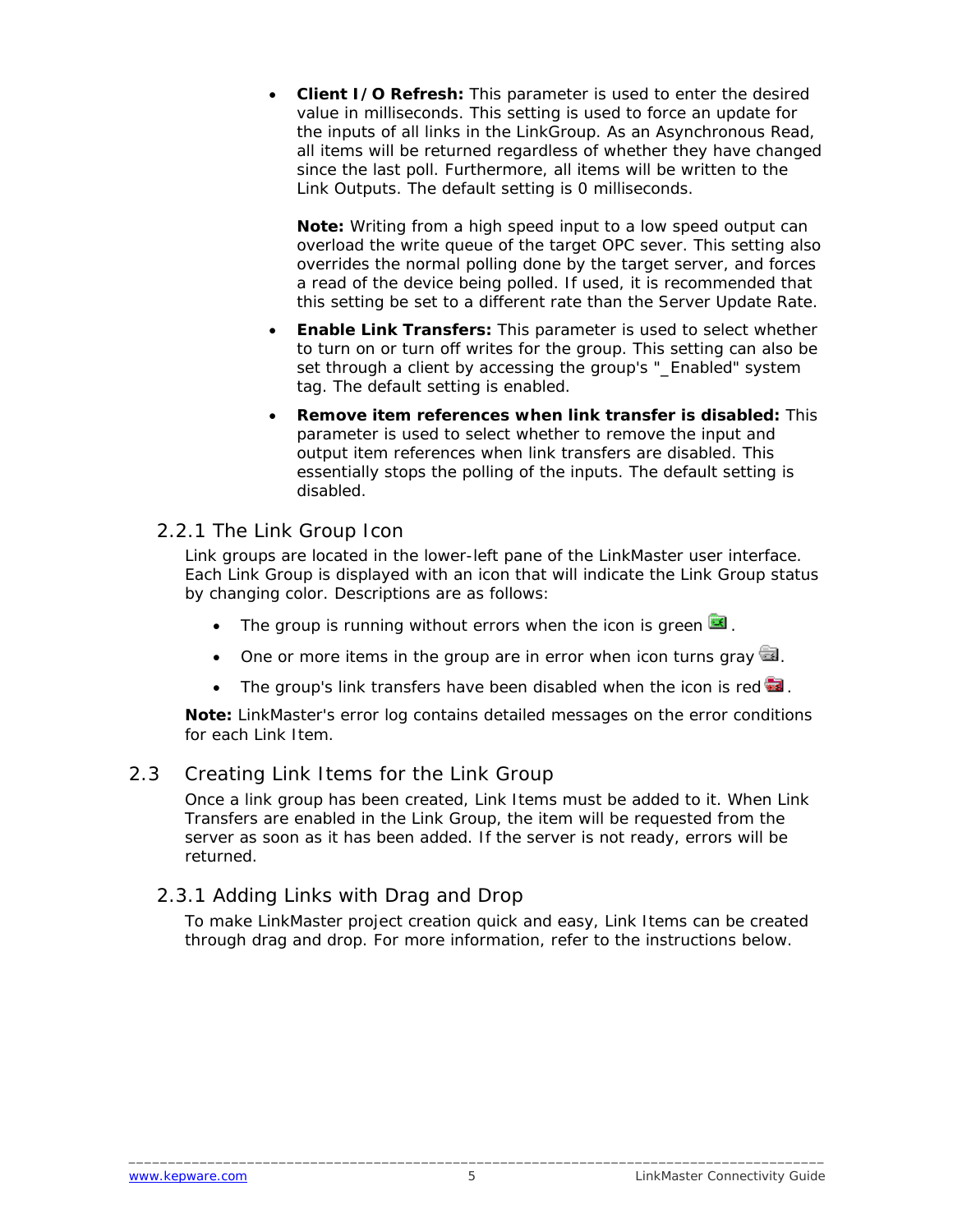<span id="page-6-0"></span>• **Client I/O Refresh:** This parameter is used to enter the desired value in milliseconds. This setting is used to force an update for the inputs of all links in the LinkGroup. As an Asynchronous Read, all items will be returned regardless of whether they have changed since the last poll. Furthermore, all items will be written to the Link Outputs. The default setting is 0 milliseconds.

**Note:** Writing from a high speed input to a low speed output can overload the write queue of the target OPC sever. This setting also overrides the normal polling done by the target server, and forces a read of the device being polled. If used, it is recommended that this setting be set to a different rate than the Server Update Rate.

- **Enable Link Transfers:** This parameter is used to select whether to turn on or turn off writes for the group. This setting can also be set through a client by accessing the group's "\_Enabled" system tag. The default setting is enabled.
- **Remove item references when link transfer is disabled:** This parameter is used to select whether to remove the input and output item references when link transfers are disabled. This essentially stops the polling of the inputs. The default setting is disabled.

#### 2.2.1 The Link Group Icon

Link groups are located in the lower-left pane of the LinkMaster user interface. Each Link Group is displayed with an icon that will indicate the Link Group status by changing color. Descriptions are as follows:

- The group is running without errors when the icon is green  $\blacksquare$ .
- One or more items in the group are in error when icon turns gray  $\blacksquare$ .
- The group's link transfers have been disabled when the icon is red  $\blacksquare$ .

**Note:** LinkMaster's error log contains detailed messages on the error conditions for each Link Item.

#### 2.3 Creating Link Items for the Link Group

Once a link group has been created, Link Items must be added to it. When Link Transfers are enabled in the Link Group, the item will be requested from the server as soon as it has been added. If the server is not ready, errors will be returned.

#### 2.3.1 Adding Links with Drag and Drop

To make LinkMaster project creation quick and easy, Link Items can be created through drag and drop. For more information, refer to the instructions below.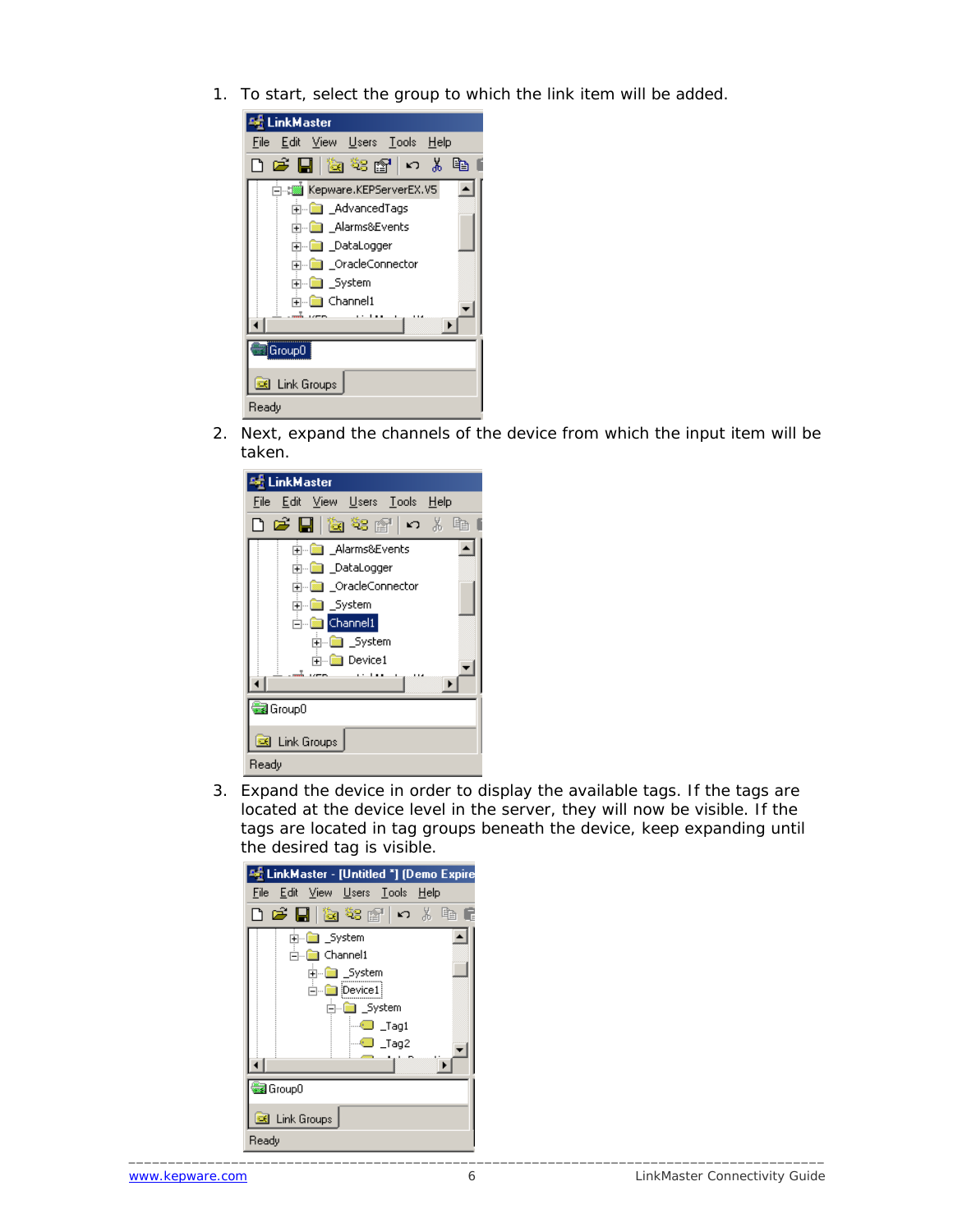1. To start, select the group to which the link item will be added.



2. Next, expand the channels of the device from which the input item will be taken.



3. Expand the device in order to display the available tags. If the tags are located at the device level in the server, they will now be visible. If the tags are located in tag groups beneath the device, keep expanding until the desired tag is visible.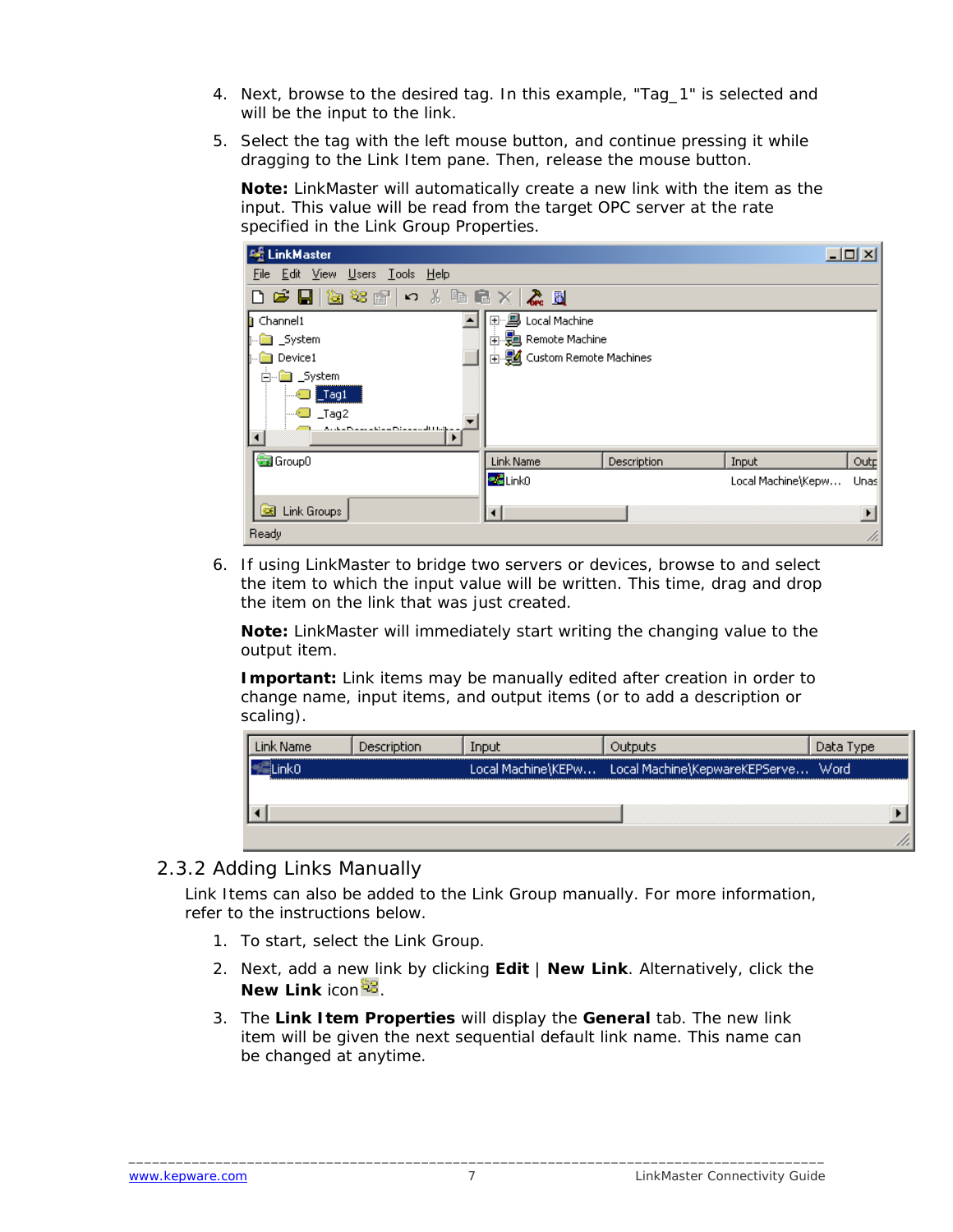- <span id="page-8-0"></span>4. Next, browse to the desired tag. In this example, "Tag\_1" is selected and will be the input to the link.
- 5. Select the tag with the left mouse button, and continue pressing it while dragging to the Link Item pane. Then, release the mouse button.

**Note:** LinkMaster will automatically create a new link with the item as the input. This value will be read from the target OPC server at the rate specified in the Link Group Properties.

| <b>Art</b> LinkMaster                                                    |                            |             |                    | 그미지  |  |
|--------------------------------------------------------------------------|----------------------------|-------------|--------------------|------|--|
| File Edit View Users Tools Help                                          |                            |             |                    |      |  |
| DFH检察所にままに×K型                                                            |                            |             |                    |      |  |
| <b>h</b> Channel1                                                        | 国·思 Local Machine          |             |                    |      |  |
| <b>na</b> _System                                                        | 由 题 Remote Machine         |             |                    |      |  |
| Device1                                                                  | 由 图 Custom Remote Machines |             |                    |      |  |
| System<br>Ė                                                              |                            |             |                    |      |  |
| $\overline{\phantom{a}}$ Tag1                                            |                            |             |                    |      |  |
| $_I$ Tag2                                                                |                            |             |                    |      |  |
| An dem Pommer in him in Point man with 1 traitem<br>$\blacktriangleleft$ |                            |             |                    |      |  |
| Group0                                                                   | Link Name                  | Description | Input              | Outp |  |
|                                                                          | <b>Va</b> Link0            |             | Local Machine\Kepw | Unas |  |
|                                                                          |                            |             |                    |      |  |
| Link Groups<br><b>CK</b>                                                 |                            |             |                    |      |  |
| Ready                                                                    |                            |             |                    | n    |  |

6. If using LinkMaster to bridge two servers or devices, browse to and select the item to which the input value will be written. This time, drag and drop the item on the link that was just created.

**Note:** LinkMaster will immediately start writing the changing value to the output item.

**Important:** Link items may be manually edited after creation in order to change name, input items, and output items (or to add a description or scaling).

|  | וטסר               |                               | ype  |
|--|--------------------|-------------------------------|------|
|  | Local Machine\KEPw | Local Machine\KepwareKEPServe | Word |
|  |                    |                               |      |
|  |                    |                               |      |
|  |                    |                               |      |

#### 2.3.2 Adding Links Manually

Link Items can also be added to the Link Group manually. For more information, refer to the instructions below.

- 1. To start, select the Link Group.
- 2. Next, add a new link by clicking **Edit** | **New Link**. Alternatively, click the **New Link** icon  $^{23}$ .
- 3. The **Link Item Properties** will display the **General** tab. The new link item will be given the next sequential default link name. This name can be changed at anytime.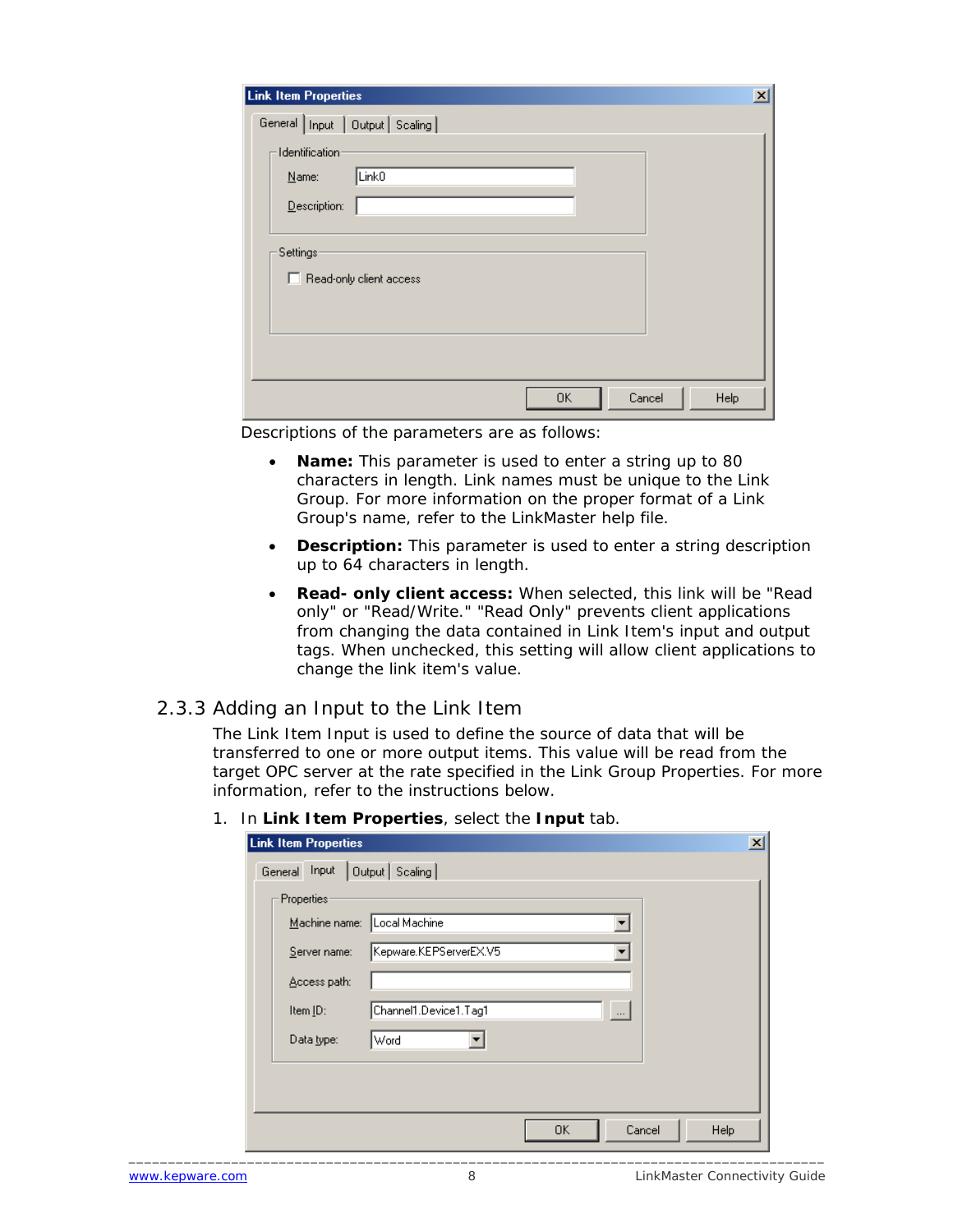<span id="page-9-0"></span>

| <b>Link Item Properties</b><br>$\vert x \vert$ |
|------------------------------------------------|
| General   Input   Output   Scaling             |
| Identification-                                |
| Link <sub>0</sub><br>Name:                     |
| Description:                                   |
|                                                |
| Settings <sup>,</sup>                          |
| Read-only client access<br>п                   |
|                                                |
|                                                |
|                                                |
| 0K<br>Cancel<br>Help                           |
|                                                |

Descriptions of the parameters are as follows:

- **Name:** This parameter is used to enter a string up to 80 characters in length. Link names must be unique to the Link Group. For more information on the proper format of a Link Group's name, refer to the LinkMaster help file.
- **Description:** This parameter is used to enter a string description up to 64 characters in length.
- **Read- only client access:** When selected, this link will be "Read only" or "Read/Write." "Read Only" prevents client applications from changing the data contained in Link Item's input and output tags. When unchecked, this setting will allow client applications to change the link item's value.

#### 2.3.3 Adding an Input to the Link Item

The Link Item Input is used to define the source of data that will be transferred to one or more output items. This value will be read from the target OPC server at the rate specified in the Link Group Properties. For more information, refer to the instructions below.

| <b>Link Item Properties</b> |                                   | $\vert x \vert$ |
|-----------------------------|-----------------------------------|-----------------|
| General Input               | Output   Scaling                  |                 |
| - Properties-               |                                   |                 |
| Machine name: Local Machine | $\overline{\phantom{0}}$          |                 |
| Server name:                | Kepware.KEPServerEX.V5            |                 |
| Access path:                |                                   |                 |
| Item ID:                    | Channel1.Device1.Tag1<br>$\cdots$ |                 |
| Data type:                  | Word                              |                 |
|                             |                                   |                 |
|                             |                                   |                 |
|                             |                                   |                 |
|                             | 0K<br>Cancel                      | Help            |

1. In **Link Item Properties**, select the **Input** tab.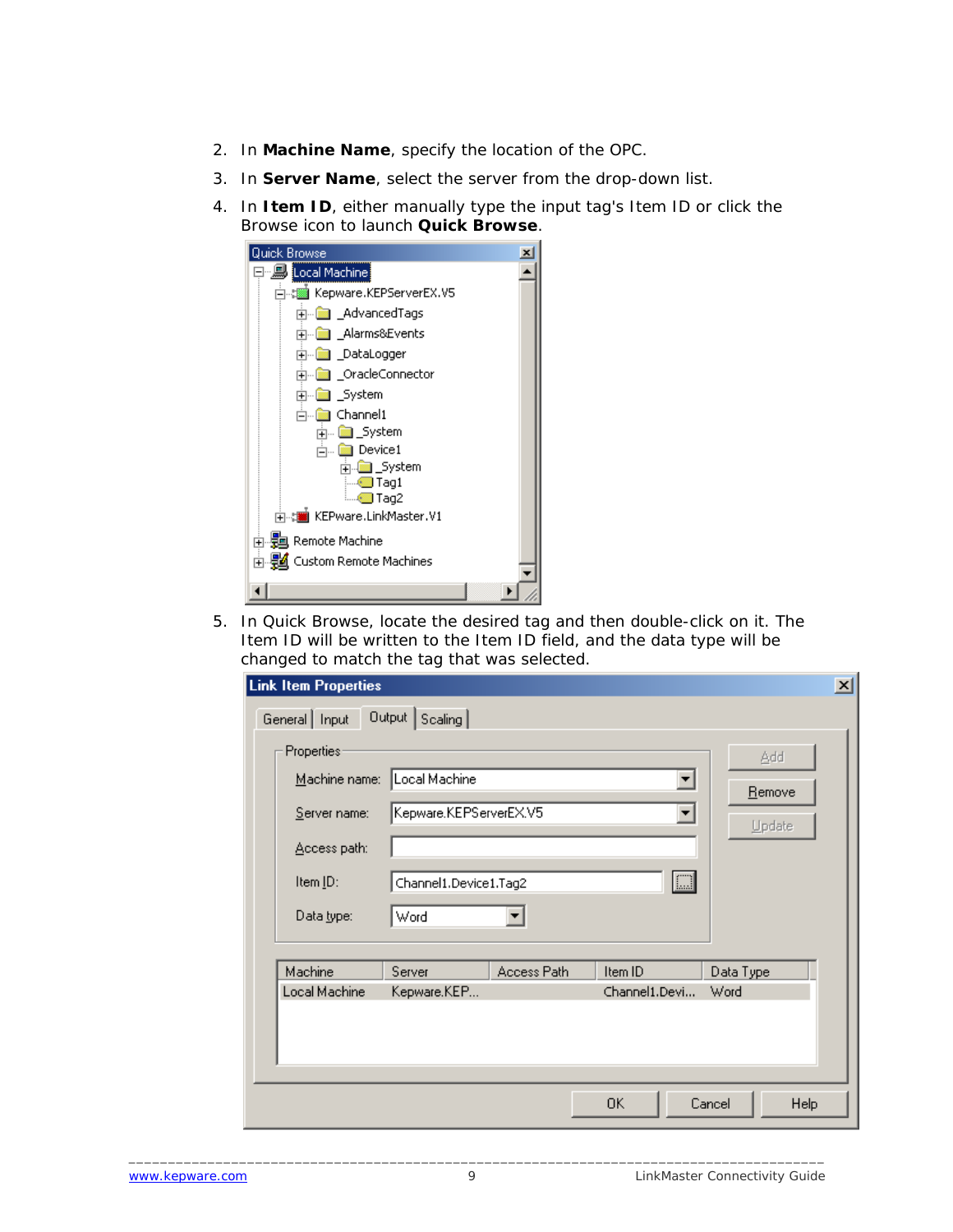- 2. In **Machine Name**, specify the location of the OPC.
- 3. In **Server Name**, select the server from the drop-down list.
- 4. In **Item ID**, either manually type the input tag's Item ID or click the Browse icon to launch **Quick Browse**.

| <b>Quick Browse</b>                              |  |
|--------------------------------------------------|--|
| 日 Local Machine                                  |  |
|                                                  |  |
| <b>⊡</b> _AdvancedTags                           |  |
| 中   Alarms&Events                                |  |
| 中 圖 DataLogger                                   |  |
| <b>A Conde Connector</b>                         |  |
| 由…■ _System                                      |  |
| 向…■ Channel1                                     |  |
| <sub>i∓i</sub> <mark>i aan</mark> _System        |  |
| ் Device1                                        |  |
| in <mark>l⊠ System</mark><br>$\blacksquare$ Tag1 |  |
| llag2 Tag2                                       |  |
| ⊯. : Will KEPware.LinkMaster.V1                  |  |
| 由 题 Remote Machine                               |  |
| 由 覺 Custom Remote Machines                       |  |
|                                                  |  |
|                                                  |  |

5. In Quick Browse, locate the desired tag and then double-click on it. The Item ID will be written to the Item ID field, and the data type will be changed to match the tag that was selected.

| <b>Link Item Properties</b>                                                     |                                                                                                       | $\vert x \vert$ |
|---------------------------------------------------------------------------------|-------------------------------------------------------------------------------------------------------|-----------------|
| General   Input                                                                 | Output   Scaling                                                                                      |                 |
| <b>Properties:</b><br>Machine name:<br>Server name:<br>Access path:<br>Item ID: | Add<br>Local Machine<br>Remove<br>Kepware.KEPServerEX.V5<br>Update<br>$\Box$<br>Channel1.Device1.Tag2 |                 |
| Data type:                                                                      | Word                                                                                                  |                 |
| Machine                                                                         | Server<br>Access Path<br>Item ID<br>Data Type                                                         |                 |
| Local Machine                                                                   | Channel1.Devi<br>Kepware.KEP<br>Word                                                                  |                 |
|                                                                                 | 0K<br>Cancel                                                                                          | <b>Help</b>     |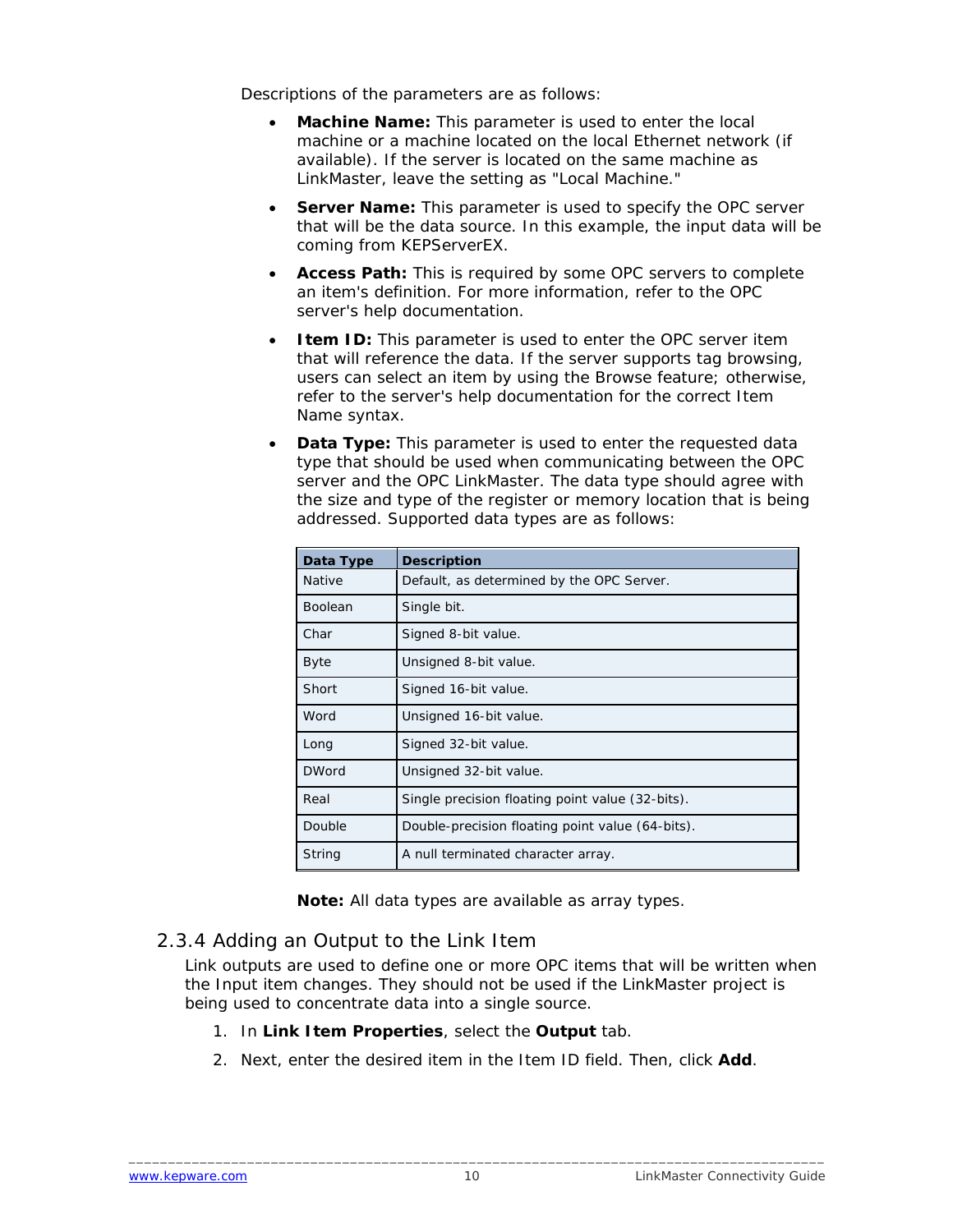<span id="page-11-0"></span>Descriptions of the parameters are as follows:

- **Machine Name:** This parameter is used to enter the local machine or a machine located on the local Ethernet network (if available). If the server is located on the same machine as LinkMaster, leave the setting as "Local Machine."
- **Server Name:** This parameter is used to specify the OPC server that will be the data source. In this example, the input data will be coming from KEPServerEX.
- **Access Path:** This is required by some OPC servers to complete an item's definition. For more information, refer to the OPC server's help documentation.
- **Item ID:** This parameter is used to enter the OPC server item that will reference the data. If the server supports tag browsing, users can select an item by using the Browse feature; otherwise, refer to the server's help documentation for the correct Item Name syntax.
- **Data Type:** This parameter is used to enter the requested data type that should be used when communicating between the OPC server and the OPC LinkMaster. The data type should agree with the size and type of the register or memory location that is being addressed. Supported data types are as follows:

| Data Type      | <b>Description</b>                               |
|----------------|--------------------------------------------------|
| <b>Native</b>  | Default, as determined by the OPC Server.        |
| <b>Boolean</b> | Single bit.                                      |
| Char           | Signed 8-bit value.                              |
| <b>Byte</b>    | Unsigned 8-bit value.                            |
| Short          | Signed 16-bit value.                             |
| Word           | Unsigned 16-bit value.                           |
| Long           | Signed 32-bit value.                             |
| <b>DWord</b>   | Unsigned 32-bit value.                           |
| Real           | Single precision floating point value (32-bits). |
| Double         | Double-precision floating point value (64-bits). |
| String         | A null terminated character array.               |

**Note:** All data types are available as array types.

#### 2.3.4 Adding an Output to the Link Item

Link outputs are used to define one or more OPC items that will be written when the Input item changes. They should not be used if the LinkMaster project is being used to concentrate data into a single source.

- 1. In **Link Item Properties**, select the **Output** tab.
- 2. Next, enter the desired item in the Item ID field. Then, click **Add**.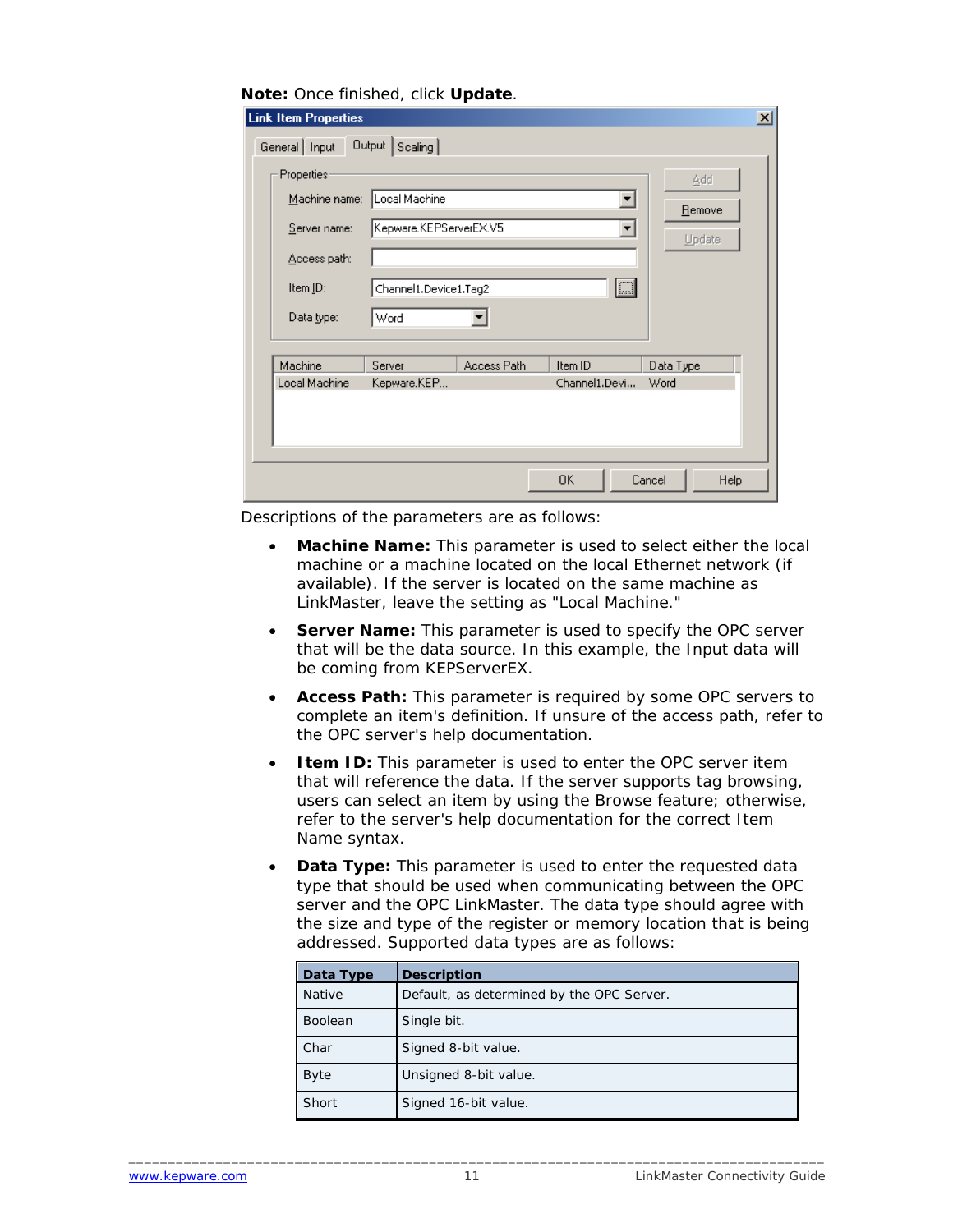#### **Note:** Once finished, click **Update**.

| <b>Link Item Properties</b>                                                                   |                                                                          |             |                          |                         | $\vert x \vert$ |
|-----------------------------------------------------------------------------------------------|--------------------------------------------------------------------------|-------------|--------------------------|-------------------------|-----------------|
| General   Input                                                                               | Output   Scaling                                                         |             |                          |                         |                 |
| <b>Properties:</b><br>Machine name:<br>Server name:<br>Access path:<br>Item ID:<br>Data type: | Local Machine<br>Kepware.KEPServerEX.V5<br>Channel1.Device1.Tag2<br>Word |             | $\boxed{\square}$        | Add<br>Remove<br>Update |                 |
| Machine<br>Local Machine                                                                      | Server<br>Kepware.KEP                                                    | Access Path | Item ID<br>Channel1.Devi | Data Type<br>Word       |                 |
|                                                                                               |                                                                          |             |                          |                         |                 |
|                                                                                               |                                                                          |             | 0K                       | Cancel<br>Help          |                 |

Descriptions of the parameters are as follows:

- **Machine Name:** This parameter is used to select either the local machine or a machine located on the local Ethernet network (if available). If the server is located on the same machine as LinkMaster, leave the setting as "Local Machine."
- **Server Name:** This parameter is used to specify the OPC server that will be the data source. In this example, the Input data will be coming from KEPServerEX.
- **Access Path:** This parameter is required by some OPC servers to complete an item's definition. If unsure of the access path, refer to the OPC server's help documentation.
- **Item ID:** This parameter is used to enter the OPC server item that will reference the data. If the server supports tag browsing, users can select an item by using the Browse feature; otherwise, refer to the server's help documentation for the correct Item Name syntax.
- **Data Type:** This parameter is used to enter the requested data type that should be used when communicating between the OPC server and the OPC LinkMaster. The data type should agree with the size and type of the register or memory location that is being addressed. Supported data types are as follows:

| Data Type     | <b>Description</b>                        |
|---------------|-------------------------------------------|
| <b>Native</b> | Default, as determined by the OPC Server. |
| Boolean       | Single bit.                               |
| Char          | Signed 8-bit value.                       |
| <b>Byte</b>   | Unsigned 8-bit value.                     |
| Short         | Signed 16-bit value.                      |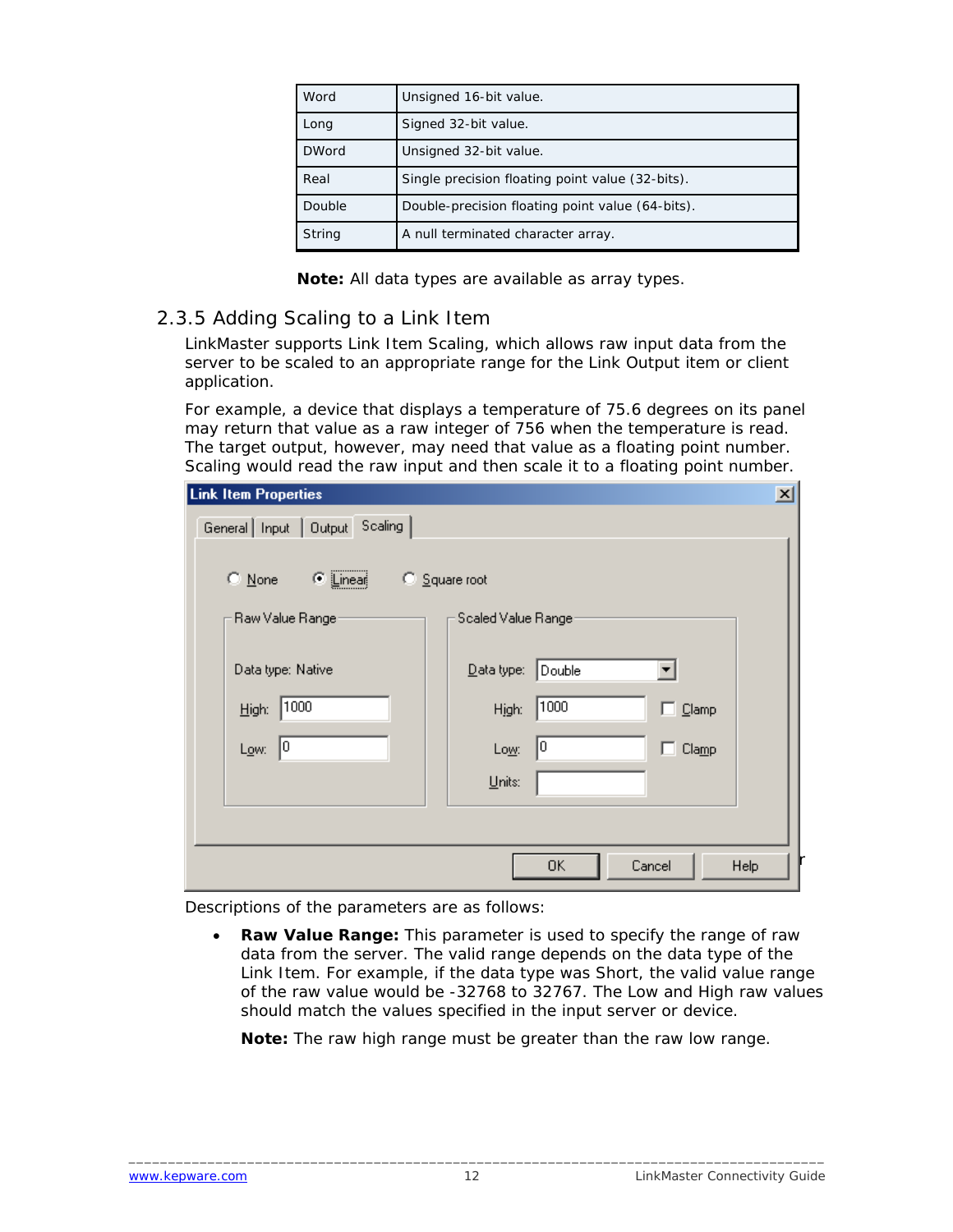<span id="page-13-0"></span>

| Word         | Unsigned 16-bit value.                           |
|--------------|--------------------------------------------------|
| Long         | Signed 32-bit value.                             |
| <b>DWord</b> | Unsigned 32-bit value.                           |
| Real         | Single precision floating point value (32-bits). |
| Double       | Double-precision floating point value (64-bits). |
| String       | A null terminated character array.               |

**Note:** All data types are available as array types.

#### 2.3.5 Adding Scaling to a Link Item

LinkMaster supports Link Item Scaling, which allows raw input data from the server to be scaled to an appropriate range for the Link Output item or client application.

For example, a device that displays a temperature of 75.6 degrees on its panel may return that value as a raw integer of 756 when the temperature is read. The target output, however, may need that value as a floating point number. Scaling would read the raw input and then scale it to a floating point number.

| <b>Link Item Properties</b>         |                                              | $\overline{\mathbf{x}}$ |
|-------------------------------------|----------------------------------------------|-------------------------|
| General Input   Output Scaling      |                                              |                         |
|                                     |                                              |                         |
| $\bullet$ Linear<br>$\bigcirc$ None | C Square root                                |                         |
| Raw Value Ranger                    | Scaled Value Ranger                          |                         |
| Data type: Native                   | $\mathbf{\underline{D}}$ ata type:<br>Double |                         |
| 1000 <br>High:                      | 1000<br>High:<br>$\Box$ Clamp                |                         |
| 10<br>Low:                          | 10<br>п<br>Clamp<br>Low:                     |                         |
|                                     | Units:                                       |                         |
|                                     |                                              |                         |
|                                     | OK<br>Cancel<br>Help                         |                         |
|                                     |                                              |                         |

Descriptions of the parameters are as follows:

• **Raw Value Range:** This parameter is used to specify the range of raw data from the server. The valid range depends on the data type of the Link Item. For example, if the data type was Short, the valid value range of the raw value would be -32768 to 32767. The Low and High raw values should match the values specified in the input server or device.

**Note:** The raw high range must be greater than the raw low range.